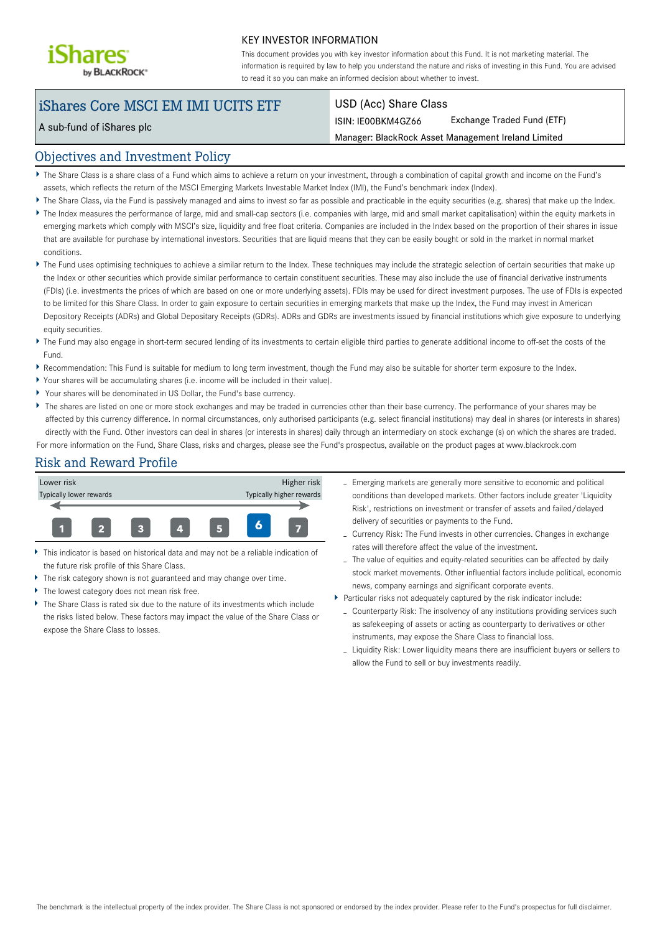

#### KEY INVESTOR INFORMATION

This document provides you with key investor information about this Fund. It is not marketing material. The information is required by law to help you understand the nature and risks of investing in this Fund. You are advised to read it so you can make an informed decision about whether to invest.

# iShares Core MSCI EM IMI UCITS ETF

A sub-fund of iShares plc

#### USD (Acc) Share Class

ISIN: IE00BKM4GZ66 Exchange Traded Fund (ETF)

Manager: BlackRock Asset Management Ireland Limited

#### Objectives and Investment Policy

- The Share Class is a share class of a Fund which aims to achieve a return on your investment, through a combination of capital growth and income on the Fund's assets, which reflects the return of the MSCI Emerging Markets Investable Market Index (IMI), the Fund's benchmark index (Index).
- The Share Class, via the Fund is passively managed and aims to invest so far as possible and practicable in the equity securities (e.g. shares) that make up the Index.
- The Index measures the performance of large, mid and small-cap sectors (i.e. companies with large, mid and small market capitalisation) within the equity markets in emerging markets which comply with MSCI's size, liquidity and free float criteria. Companies are included in the Index based on the proportion of their shares in issue that are available for purchase by international investors. Securities that are liquid means that they can be easily bought or sold in the market in normal market conditions.
- ▶ The Fund uses optimising techniques to achieve a similar return to the Index. These techniques may include the strategic selection of certain securities that make up the Index or other securities which provide similar performance to certain constituent securities. These may also include the use of financial derivative instruments (FDIs) (i.e. investments the prices of which are based on one or more underlying assets). FDIs may be used for direct investment purposes. The use of FDIs is expected to be limited for this Share Class. In order to gain exposure to certain securities in emerging markets that make up the Index, the Fund may invest in American Depository Receipts (ADRs) and Global Depositary Receipts (GDRs). ADRs and GDRs are investments issued by financial institutions which give exposure to underlying equity securities.
- The Fund may also engage in short-term secured lending of its investments to certain eligible third parties to generate additional income to off-set the costs of the Fund.
- Recommendation: This Fund is suitable for medium to long term investment, though the Fund may also be suitable for shorter term exposure to the Index.
- Your shares will be accumulating shares (i.e. income will be included in their value).
- Your shares will be denominated in US Dollar, the Fund's base currency.
- The shares are listed on one or more stock exchanges and may be traded in currencies other than their base currency. The performance of your shares may be affected by this currency difference. In normal circumstances, only authorised participants (e.g. select financial institutions) may deal in shares (or interests in shares) directly with the Fund. Other investors can deal in shares (or interests in shares) daily through an intermediary on stock exchange (s) on which the shares are traded. For more information on the Fund, Share Class, risks and charges, please see the Fund's prospectus, available on the product pages at www.blackrock.com

#### Risk and Reward Profile



- This indicator is based on historical data and may not be a reliable indication of the future risk profile of this Share Class.
- The risk category shown is not guaranteed and may change over time.
- The lowest category does not mean risk free.
- The Share Class is rated six due to the nature of its investments which include the risks listed below. These factors may impact the value of the Share Class or expose the Share Class to losses.
- Emerging markets are generally more sensitive to economic and political conditions than developed markets. Other factors include greater 'Liquidity Risk', restrictions on investment or transfer of assets and failed/delayed delivery of securities or payments to the Fund.
- Currency Risk: The Fund invests in other currencies. Changes in exchange rates will therefore affect the value of the investment.
- The value of equities and equity-related securities can be affected by daily stock market movements. Other influential factors include political, economic news, company earnings and significant corporate events.
- Particular risks not adequately captured by the risk indicator include:
	- Counterparty Risk: The insolvency of any institutions providing services such as safekeeping of assets or acting as counterparty to derivatives or other instruments, may expose the Share Class to financial loss.
	- Liquidity Risk: Lower liquidity means there are insufficient buyers or sellers to allow the Fund to sell or buy investments readily.